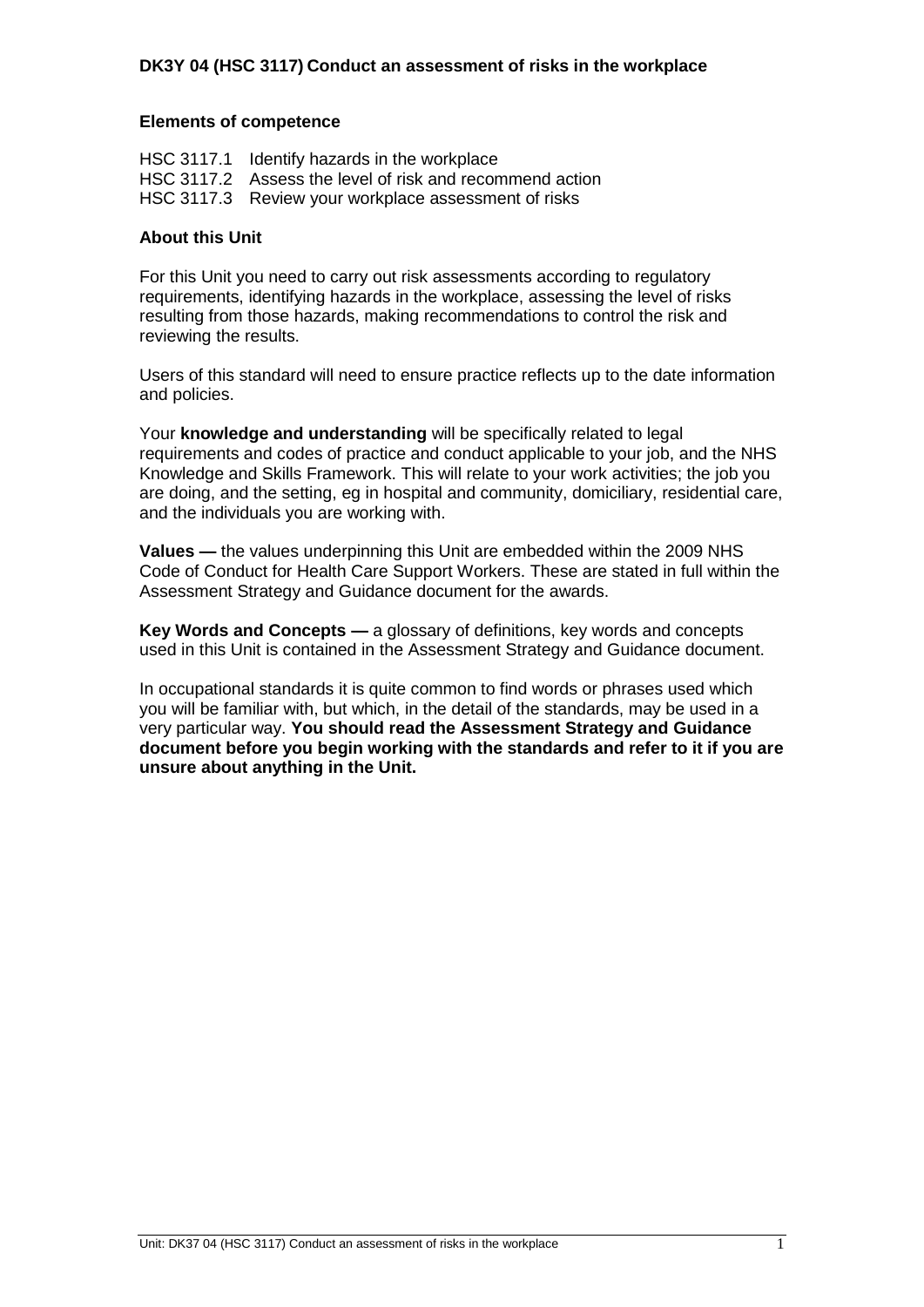#### **Elements of competence**

| HSC 3117.1 Identify hazards in the workplace             |
|----------------------------------------------------------|
| HSC 3117.2 Assess the level of risk and recommend action |
| HSC 3117.3 Review your workplace assessment of risks     |

#### **About this Unit**

For this Unit you need to carry out risk assessments according to regulatory requirements, identifying hazards in the workplace, assessing the level of risks resulting from those hazards, making recommendations to control the risk and reviewing the results.

Users of this standard will need to ensure practice reflects up to the date information and policies.

Your **knowledge and understanding** will be specifically related to legal requirements and codes of practice and conduct applicable to your job, and the NHS Knowledge and Skills Framework. This will relate to your work activities; the job you are doing, and the setting, eg in hospital and community, domiciliary, residential care, and the individuals you are working with.

**Values —** the values underpinning this Unit are embedded within the 2009 NHS Code of Conduct for Health Care Support Workers. These are stated in full within the Assessment Strategy and Guidance document for the awards.

**Key Words and Concepts —** a glossary of definitions, key words and concepts used in this Unit is contained in the Assessment Strategy and Guidance document.

In occupational standards it is quite common to find words or phrases used which you will be familiar with, but which, in the detail of the standards, may be used in a very particular way. **You should read the Assessment Strategy and Guidance document before you begin working with the standards and refer to it if you are unsure about anything in the Unit.**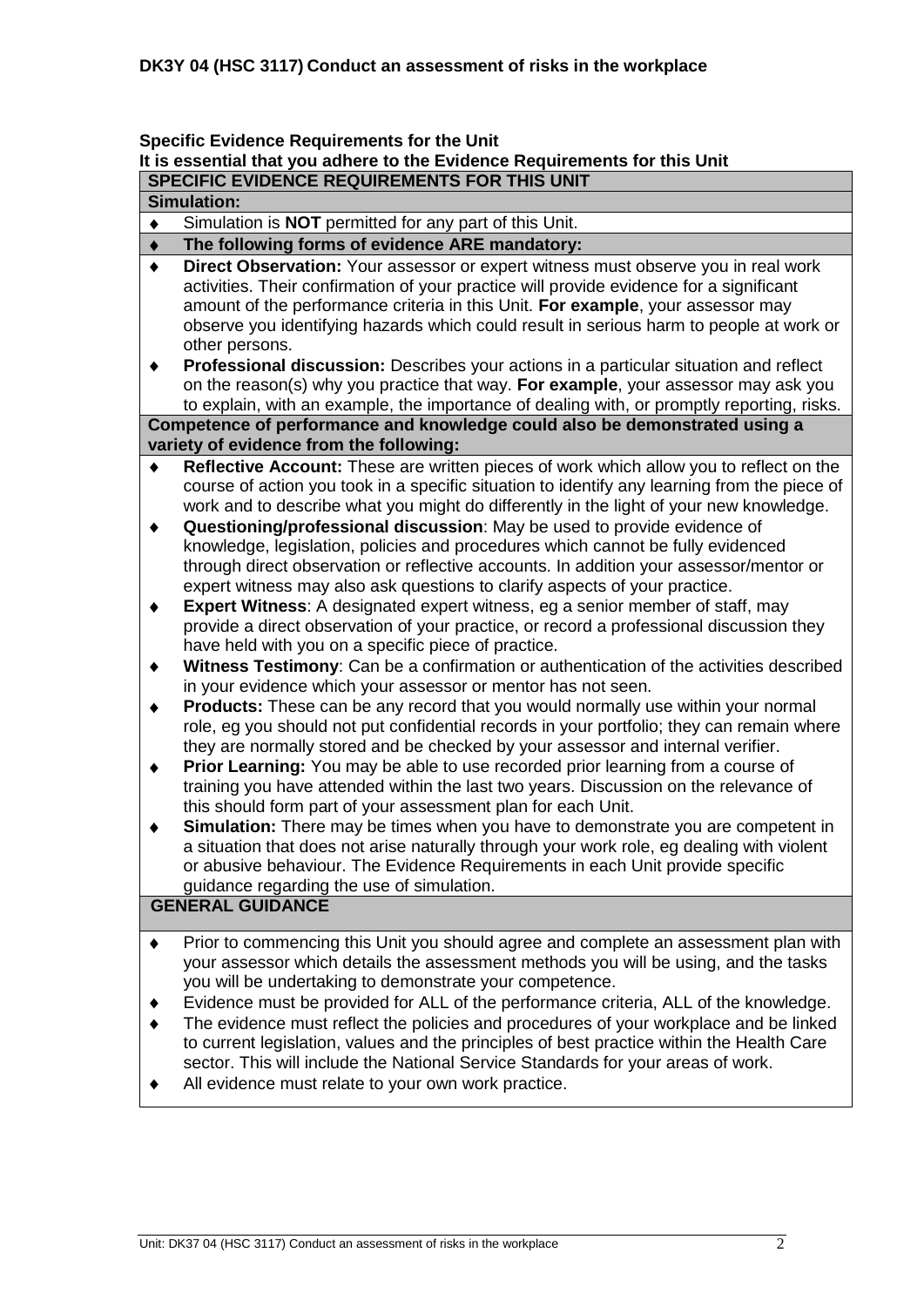# **Specific Evidence Requirements for the Unit**

#### **It is essential that you adhere to the Evidence Requirements for this Unit SPECIFIC EVIDENCE REQUIREMENTS FOR THIS UNIT**

**Simulation:**

#### Simulation is **NOT** permitted for any part of this Unit.  $\bullet$

#### **The following forms of evidence ARE mandatory:**  $\blacklozenge$

- $\bullet$ **Direct Observation:** Your assessor or expert witness must observe you in real work activities. Their confirmation of your practice will provide evidence for a significant amount of the performance criteria in this Unit. **For example**, your assessor may observe you identifying hazards which could result in serious harm to people at work or other persons.
- **Professional discussion:** Describes your actions in a particular situation and reflect  $\ddot{\bullet}$ on the reason(s) why you practice that way. **For example**, your assessor may ask you to explain, with an example, the importance of dealing with, or promptly reporting, risks. **Competence of performance and knowledge could also be demonstrated using a**

### **variety of evidence from the following:**

- **Reflective Account:** These are written pieces of work which allow you to reflect on the course of action you took in a specific situation to identify any learning from the piece of work and to describe what you might do differently in the light of your new knowledge.
- **Questioning/professional discussion**: May be used to provide evidence of  $\blacklozenge$ knowledge, legislation, policies and procedures which cannot be fully evidenced through direct observation or reflective accounts. In addition your assessor/mentor or expert witness may also ask questions to clarify aspects of your practice.
- **Expert Witness**: A designated expert witness, eg a senior member of staff, may  $\blacklozenge$ provide a direct observation of your practice, or record a professional discussion they have held with you on a specific piece of practice.
- **Witness Testimony**: Can be a confirmation or authentication of the activities described  $\blacklozenge$ in your evidence which your assessor or mentor has not seen.
- **Products:** These can be any record that you would normally use within your normal  $\bullet$ role, eg you should not put confidential records in your portfolio; they can remain where they are normally stored and be checked by your assessor and internal verifier.
- **Prior Learning:** You may be able to use recorded prior learning from a course of  $\bullet$ training you have attended within the last two years. Discussion on the relevance of this should form part of your assessment plan for each Unit.
- **Simulation:** There may be times when you have to demonstrate you are competent in  $\ddot{\bullet}$ a situation that does not arise naturally through your work role, eg dealing with violent or abusive behaviour. The Evidence Requirements in each Unit provide specific guidance regarding the use of simulation.

### **GENERAL GUIDANCE**

- Prior to commencing this Unit you should agree and complete an assessment plan with  $\blacklozenge$ your assessor which details the assessment methods you will be using, and the tasks you will be undertaking to demonstrate your competence.
- Evidence must be provided for ALL of the performance criteria, ALL of the knowledge.
- The evidence must reflect the policies and procedures of your workplace and be linked to current legislation, values and the principles of best practice within the Health Care sector. This will include the National Service Standards for your areas of work.
- All evidence must relate to your own work practice.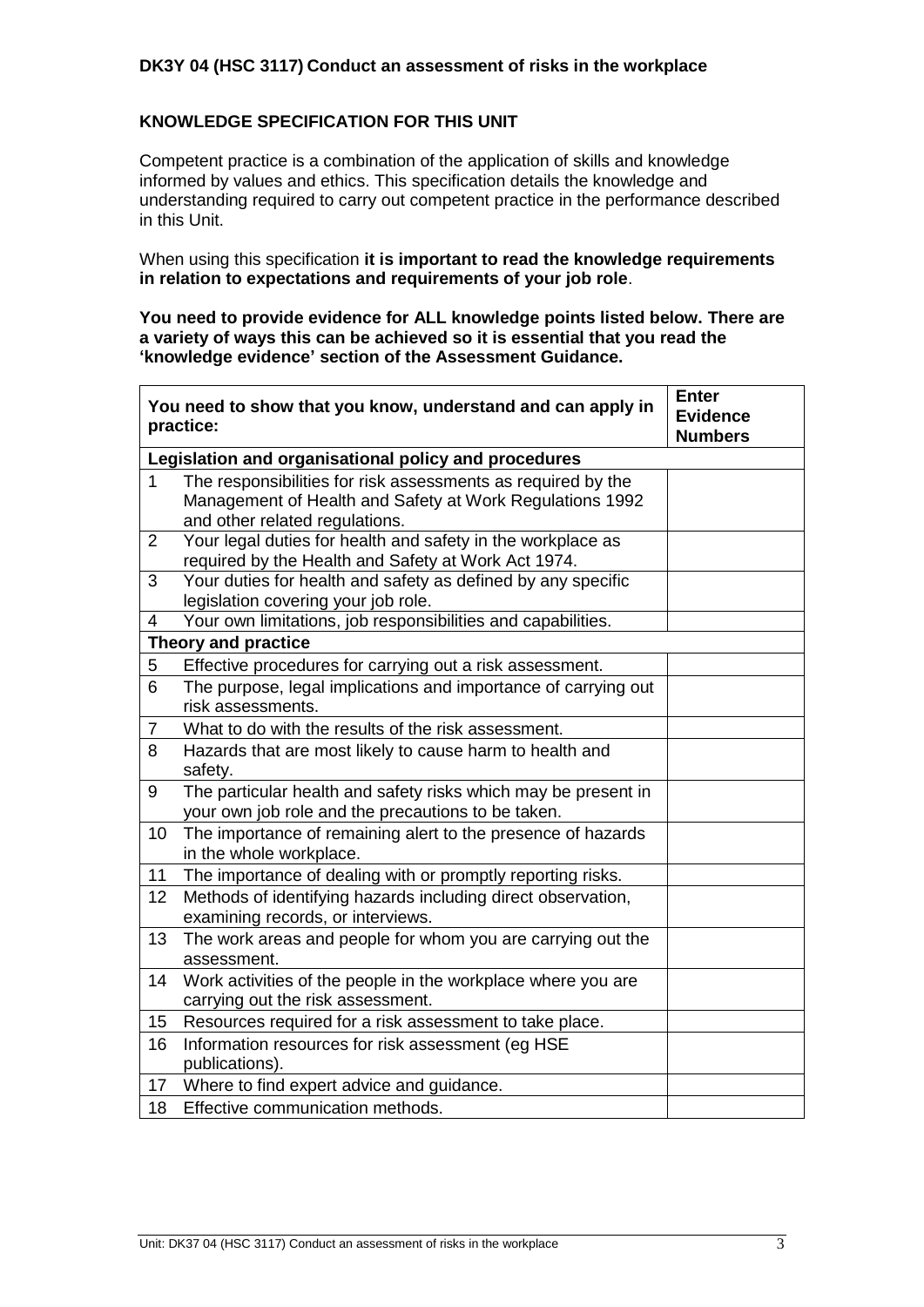#### **DK3Y 04 (HSC 3117) Conduct an assessment of risks in the workplace**

#### **KNOWLEDGE SPECIFICATION FOR THIS UNIT**

Competent practice is a combination of the application of skills and knowledge informed by values and ethics. This specification details the knowledge and understanding required to carry out competent practice in the performance described in this Unit.

When using this specification **it is important to read the knowledge requirements in relation to expectations and requirements of your job role**.

**You need to provide evidence for ALL knowledge points listed below. There are a variety of ways this can be achieved so it is essential that you read the 'knowledge evidence' section of the Assessment Guidance.**

|                | You need to show that you know, understand and can apply in<br>practice:                                                                                   | <b>Enter</b><br><b>Evidence</b><br><b>Numbers</b> |  |  |  |  |
|----------------|------------------------------------------------------------------------------------------------------------------------------------------------------------|---------------------------------------------------|--|--|--|--|
|                | Legislation and organisational policy and procedures                                                                                                       |                                                   |  |  |  |  |
| $\mathbf{1}$   | The responsibilities for risk assessments as required by the<br>Management of Health and Safety at Work Regulations 1992<br>and other related regulations. |                                                   |  |  |  |  |
| $\overline{2}$ | Your legal duties for health and safety in the workplace as<br>required by the Health and Safety at Work Act 1974.                                         |                                                   |  |  |  |  |
| 3              | Your duties for health and safety as defined by any specific<br>legislation covering your job role.                                                        |                                                   |  |  |  |  |
| $\overline{4}$ | Your own limitations, job responsibilities and capabilities.                                                                                               |                                                   |  |  |  |  |
|                | <b>Theory and practice</b>                                                                                                                                 |                                                   |  |  |  |  |
| 5              | Effective procedures for carrying out a risk assessment.                                                                                                   |                                                   |  |  |  |  |
| 6              | The purpose, legal implications and importance of carrying out<br>risk assessments.                                                                        |                                                   |  |  |  |  |
| $\overline{7}$ | What to do with the results of the risk assessment.                                                                                                        |                                                   |  |  |  |  |
| 8              | Hazards that are most likely to cause harm to health and<br>safety.                                                                                        |                                                   |  |  |  |  |
| 9              | The particular health and safety risks which may be present in<br>your own job role and the precautions to be taken.                                       |                                                   |  |  |  |  |
| 10             | The importance of remaining alert to the presence of hazards<br>in the whole workplace.                                                                    |                                                   |  |  |  |  |
| 11             | The importance of dealing with or promptly reporting risks.                                                                                                |                                                   |  |  |  |  |
| 12             | Methods of identifying hazards including direct observation,<br>examining records, or interviews.                                                          |                                                   |  |  |  |  |
| 13             | The work areas and people for whom you are carrying out the<br>assessment.                                                                                 |                                                   |  |  |  |  |
| 14             | Work activities of the people in the workplace where you are<br>carrying out the risk assessment.                                                          |                                                   |  |  |  |  |
| 15             | Resources required for a risk assessment to take place.                                                                                                    |                                                   |  |  |  |  |
| 16             | Information resources for risk assessment (eg HSE<br>publications).                                                                                        |                                                   |  |  |  |  |
| 17             | Where to find expert advice and guidance.                                                                                                                  |                                                   |  |  |  |  |
| 18             | Effective communication methods.                                                                                                                           |                                                   |  |  |  |  |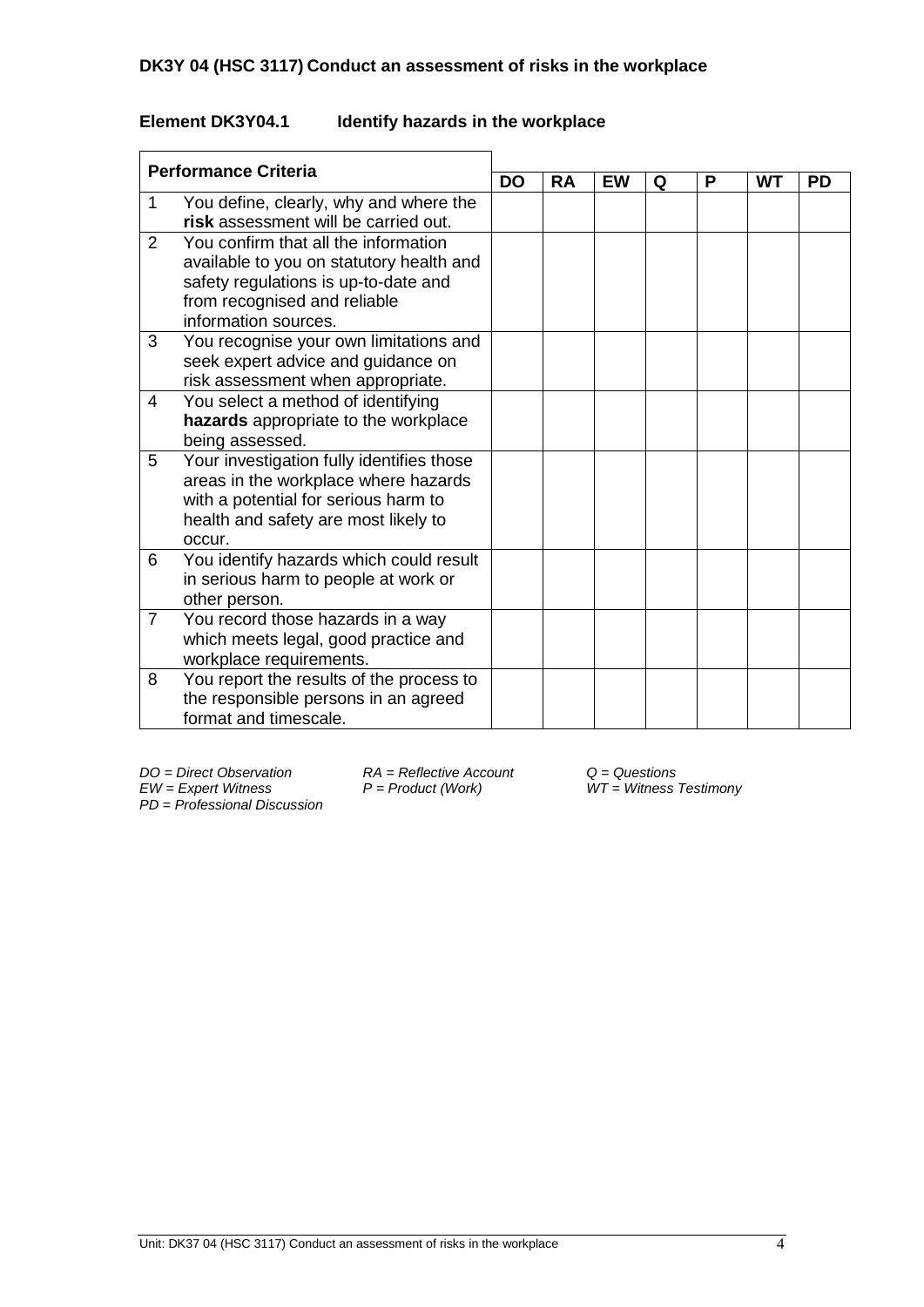# **DK3Y 04 (HSC 3117) Conduct an assessment of risks in the workplace**

# **Element DK3Y04.1 Identify hazards in the workplace**

| <b>Performance Criteria</b> |                                           | <b>DO</b> |           |           |   |   |           |           |  |
|-----------------------------|-------------------------------------------|-----------|-----------|-----------|---|---|-----------|-----------|--|
|                             |                                           |           | <b>RA</b> | <b>EW</b> | Q | Р | <b>WT</b> | <b>PD</b> |  |
| 1                           | You define, clearly, why and where the    |           |           |           |   |   |           |           |  |
|                             | risk assessment will be carried out.      |           |           |           |   |   |           |           |  |
| $\overline{2}$              | You confirm that all the information      |           |           |           |   |   |           |           |  |
|                             | available to you on statutory health and  |           |           |           |   |   |           |           |  |
|                             | safety regulations is up-to-date and      |           |           |           |   |   |           |           |  |
|                             | from recognised and reliable              |           |           |           |   |   |           |           |  |
|                             | information sources.                      |           |           |           |   |   |           |           |  |
| 3                           | You recognise your own limitations and    |           |           |           |   |   |           |           |  |
|                             | seek expert advice and guidance on        |           |           |           |   |   |           |           |  |
|                             | risk assessment when appropriate.         |           |           |           |   |   |           |           |  |
| 4                           | You select a method of identifying        |           |           |           |   |   |           |           |  |
|                             | hazards appropriate to the workplace      |           |           |           |   |   |           |           |  |
|                             | being assessed.                           |           |           |           |   |   |           |           |  |
| 5                           | Your investigation fully identifies those |           |           |           |   |   |           |           |  |
|                             | areas in the workplace where hazards      |           |           |           |   |   |           |           |  |
|                             | with a potential for serious harm to      |           |           |           |   |   |           |           |  |
|                             | health and safety are most likely to      |           |           |           |   |   |           |           |  |
|                             | occur.                                    |           |           |           |   |   |           |           |  |
| 6                           | You identify hazards which could result   |           |           |           |   |   |           |           |  |
|                             | in serious harm to people at work or      |           |           |           |   |   |           |           |  |
|                             | other person.                             |           |           |           |   |   |           |           |  |
| $\overline{7}$              | You record those hazards in a way         |           |           |           |   |   |           |           |  |
|                             | which meets legal, good practice and      |           |           |           |   |   |           |           |  |
|                             | workplace requirements.                   |           |           |           |   |   |           |           |  |
| 8                           | You report the results of the process to  |           |           |           |   |   |           |           |  |
|                             | the responsible persons in an agreed      |           |           |           |   |   |           |           |  |
|                             | format and timescale.                     |           |           |           |   |   |           |           |  |

*DO = Direct Observation RA = Reflective Account Q = Questions PD* = *Professional Discussion*

*EW = Expert Witness P = Product (Work) WT = Witness Testimony*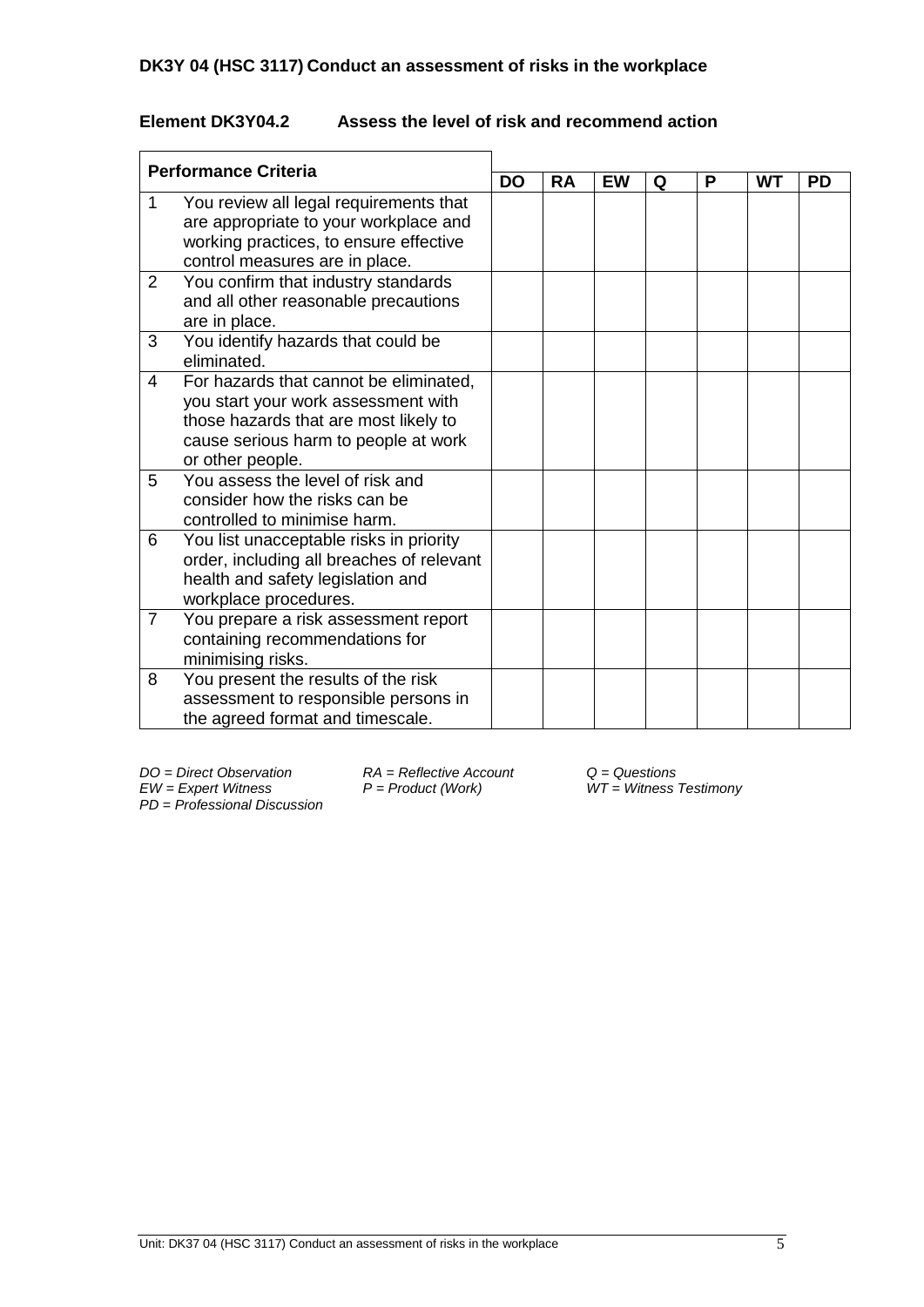## **Element DK3Y04.2 Assess the level of risk and recommend action**

| <b>Performance Criteria</b> |                                                                                                                                                                                    | <b>DO</b> |           |           |   |   |           |           |  |
|-----------------------------|------------------------------------------------------------------------------------------------------------------------------------------------------------------------------------|-----------|-----------|-----------|---|---|-----------|-----------|--|
|                             |                                                                                                                                                                                    |           | <b>RA</b> | <b>EW</b> | Q | P | <b>WT</b> | <b>PD</b> |  |
| 1                           | You review all legal requirements that<br>are appropriate to your workplace and<br>working practices, to ensure effective<br>control measures are in place.                        |           |           |           |   |   |           |           |  |
| $\overline{2}$              | You confirm that industry standards<br>and all other reasonable precautions<br>are in place.                                                                                       |           |           |           |   |   |           |           |  |
| 3                           | You identify hazards that could be<br>eliminated.                                                                                                                                  |           |           |           |   |   |           |           |  |
| 4                           | For hazards that cannot be eliminated,<br>you start your work assessment with<br>those hazards that are most likely to<br>cause serious harm to people at work<br>or other people. |           |           |           |   |   |           |           |  |
| 5                           | You assess the level of risk and<br>consider how the risks can be<br>controlled to minimise harm.                                                                                  |           |           |           |   |   |           |           |  |
| 6                           | You list unacceptable risks in priority<br>order, including all breaches of relevant<br>health and safety legislation and<br>workplace procedures.                                 |           |           |           |   |   |           |           |  |
| $\overline{7}$              | You prepare a risk assessment report<br>containing recommendations for<br>minimising risks.                                                                                        |           |           |           |   |   |           |           |  |
| 8                           | You present the results of the risk<br>assessment to responsible persons in<br>the agreed format and timescale.                                                                    |           |           |           |   |   |           |           |  |

*DO = Direct Observation RA = Reflective Account Q = Questions PD* = *Professional Discussion*

*EW = Expert Witness P = Product (Work) WT = Witness Testimony*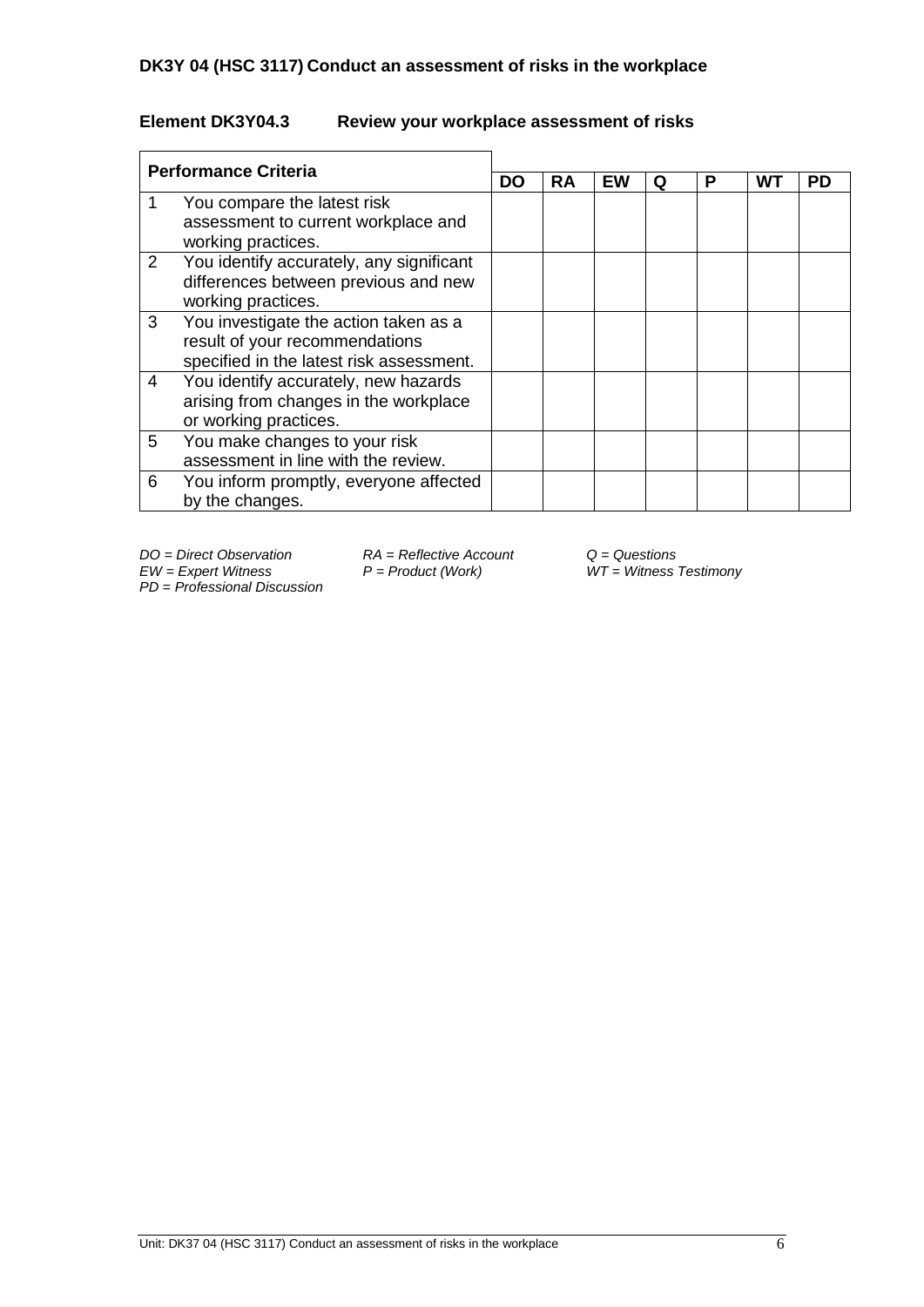## **Element DK3Y04.3 Review your workplace assessment of risks**

| <b>Performance Criteria</b> |                                                                                                                     |    |           |    |   |   |    |           |
|-----------------------------|---------------------------------------------------------------------------------------------------------------------|----|-----------|----|---|---|----|-----------|
|                             |                                                                                                                     | DO | <b>RA</b> | EW | Q | Р | WT | <b>PD</b> |
|                             | You compare the latest risk<br>assessment to current workplace and<br>working practices.                            |    |           |    |   |   |    |           |
| 2                           | You identify accurately, any significant<br>differences between previous and new<br>working practices.              |    |           |    |   |   |    |           |
| 3                           | You investigate the action taken as a<br>result of your recommendations<br>specified in the latest risk assessment. |    |           |    |   |   |    |           |
| 4                           | You identify accurately, new hazards<br>arising from changes in the workplace<br>or working practices.              |    |           |    |   |   |    |           |
| 5                           | You make changes to your risk<br>assessment in line with the review.                                                |    |           |    |   |   |    |           |
| 6                           | You inform promptly, everyone affected<br>by the changes.                                                           |    |           |    |   |   |    |           |

*PD* = *Professional Discussion*

*DO* = *Direct Observation RA* = *Reflective Account Q* = *Questions EW* = *Expert Witness P* = *Product (Work) WT* = *Witness i* 

*EW = Expert Witness P = Product (Work) WT = Witness Testimony*